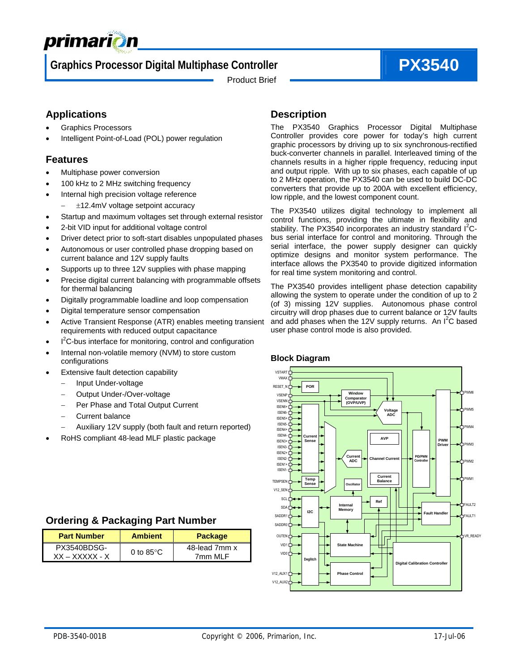

# **Graphics Processor Digital Multiphase Controller PX3540**

Product Brief

## **Applications**

- Graphics Processors
- Intelligent Point-of-Load (POL) power regulation

### **Features**

- Multiphase power conversion
- 100 kHz to 2 MHz switching frequency
- Internal high precision voltage reference
- − ±12.4mV voltage setpoint accuracy
- Startup and maximum voltages set through external resistor
- 2-bit VID input for additional voltage control
- Driver detect prior to soft-start disables unpopulated phases
- Autonomous or user controlled phase dropping based on current balance and 12V supply faults
- Supports up to three 12V supplies with phase mapping
- Precise digital current balancing with programmable offsets for thermal balancing
- Digitally programmable loadline and loop compensation
- Digital temperature sensor compensation
- Active Transient Response (ATR) enables meeting transient requirements with reduced output capacitance
- $\cdot$  I<sup>2</sup>C-bus interface for monitoring, control and configuration
- Internal non-volatile memory (NVM) to store custom configurations
- Extensive fault detection capability
	- − Input Under-voltage
	- Output Under-/Over-voltage
	- − Per Phase and Total Output Current
	- − Current balance
	- − Auxiliary 12V supply (both fault and return reported)
- RoHS compliant 48-lead MLF plastic package

# **Ordering & Packaging Part Number**

| <b>Part Number</b>               | <b>Ambient</b>      | <b>Package</b>           |
|----------------------------------|---------------------|--------------------------|
| PX3540BDSG-<br>$XX - XXXXXX - X$ | 0 to $85^{\circ}$ C | 48-lead 7mm x<br>7mm MLF |

#### **Description**

The PX3540 Graphics Processor Digital Multiphase Controller provides core power for today's high current graphic processors by driving up to six synchronous-rectified buck-converter channels in parallel. Interleaved timing of the channels results in a higher ripple frequency, reducing input and output ripple. With up to six phases, each capable of up to 2 MHz operation, the PX3540 can be used to build DC-DC converters that provide up to 200A with excellent efficiency, low ripple, and the lowest component count.

The PX3540 utilizes digital technology to implement all control functions, providing the ultimate in flexibility and stability. The PX3540 incorporates an industry standard  $1^2C$ bus serial interface for control and monitoring. Through the serial interface, the power supply designer can quickly optimize designs and monitor system performance. The interface allows the PX3540 to provide digitized information for real time system monitoring and control.

The PX3540 provides intelligent phase detection capability allowing the system to operate under the condition of up to 2 (of 3) missing 12V supplies. Autonomous phase control circuitry will drop phases due to current balance or 12V faults and add phases when the 12V supply returns. An  $I^2C$  based user phase control mode is also provided.



#### **Block Diagram**